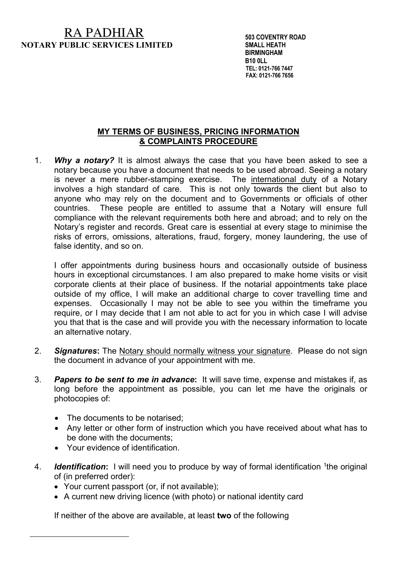## RA PADHIAR **NOTARY PUBLIC SERVICES LIMITED**

 **503 COVENTRY ROAD SMALL HEATH BIRMINGHAM B10 0LL TEL: 0121-766 7447 FAX: 0121-766 7656**

## **MY TERMS OF BUSINESS, PRICING INFORMATION & COMPLAINTS PROCEDURE**

1. *Why a notary?* It is almost always the case that you have been asked to see a notary because you have a document that needs to be used abroad. Seeing a notary is never a mere rubber-stamping exercise. The international duty of a Notary involves a high standard of care. This is not only towards the client but also to anyone who may rely on the document and to Governments or officials of other countries. These people are entitled to assume that a Notary will ensure full compliance with the relevant requirements both here and abroad; and to rely on the Notary's register and records. Great care is essential at every stage to minimise the risks of errors, omissions, alterations, fraud, forgery, money laundering, the use of false identity, and so on.

I offer appointments during business hours and occasionally outside of business hours in exceptional circumstances. I am also prepared to make home visits or visit corporate clients at their place of business. If the notarial appointments take place outside of my office, I will make an additional charge to cover travelling time and expenses. Occasionally I may not be able to see you within the timeframe you require, or I may decide that I am not able to act for you in which case I will advise you that that is the case and will provide you with the necessary information to locate an alternative notary.

- 2. *Signatures***:** The Notary should normally witness your signature. Please do not sign the document in advance of your appointment with me.
- 3. *Papers to be sent to me in advance***:** It will save time, expense and mistakes if, as long before the appointment as possible, you can let me have the originals or photocopies of:
	- The documents to be notarised;
	- Any letter or other form of instruction which you have received about what has to be done with the documents;
	- Your evidence of identification.
- 4. *Identification***:** I will need you to produce by way of formal identification 1the original of (in preferred order):
	- Your current passport (or, if not available);
	- A current new driving licence (with photo) or national identity card

If neither of the above are available, at least **two** of the following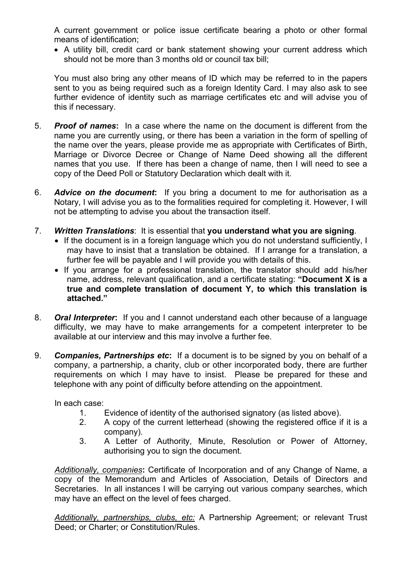A current government or police issue certificate bearing a photo or other formal means of identification;

• A utility bill, credit card or bank statement showing your current address which should not be more than 3 months old or council tax bill;

You must also bring any other means of ID which may be referred to in the papers sent to you as being required such as a foreign Identity Card. I may also ask to see further evidence of identity such as marriage certificates etc and will advise you of this if necessary.

- 5. *Proof of names***:** In a case where the name on the document is different from the name you are currently using, or there has been a variation in the form of spelling of the name over the years, please provide me as appropriate with Certificates of Birth, Marriage or Divorce Decree or Change of Name Deed showing all the different names that you use. If there has been a change of name, then I will need to see a copy of the Deed Poll or Statutory Declaration which dealt with it.
- 6. *Advice on the document***:** If you bring a document to me for authorisation as a Notary, I will advise you as to the formalities required for completing it. However, I will not be attempting to advise you about the transaction itself.
- 7. *Written Translations*: It is essential that **you understand what you are signing**.
	- If the document is in a foreign language which you do not understand sufficiently, I may have to insist that a translation be obtained. If I arrange for a translation, a further fee will be payable and I will provide you with details of this.
	- If you arrange for a professional translation, the translator should add his/her name, address, relevant qualification, and a certificate stating: **"Document X is a true and complete translation of document Y, to which this translation is attached."**
- 8. *Oral Interpreter***:** If you and I cannot understand each other because of a language difficulty, we may have to make arrangements for a competent interpreter to be available at our interview and this may involve a further fee.
- 9. *Companies, Partnerships etc***:** If a document is to be signed by you on behalf of a company, a partnership, a charity, club or other incorporated body, there are further requirements on which I may have to insist. Please be prepared for these and telephone with any point of difficulty before attending on the appointment.

In each case:

- 1. Evidence of identity of the authorised signatory (as listed above).
- 2. A copy of the current letterhead (showing the registered office if it is a company).
- 3. A Letter of Authority, Minute, Resolution or Power of Attorney, authorising you to sign the document.

*Additionally, companies***:** Certificate of Incorporation and of any Change of Name, a copy of the Memorandum and Articles of Association, Details of Directors and Secretaries. In all instances I will be carrying out various company searches, which may have an effect on the level of fees charged.

*Additionally, partnerships, clubs, etc:* A Partnership Agreement; or relevant Trust Deed; or Charter; or Constitution/Rules.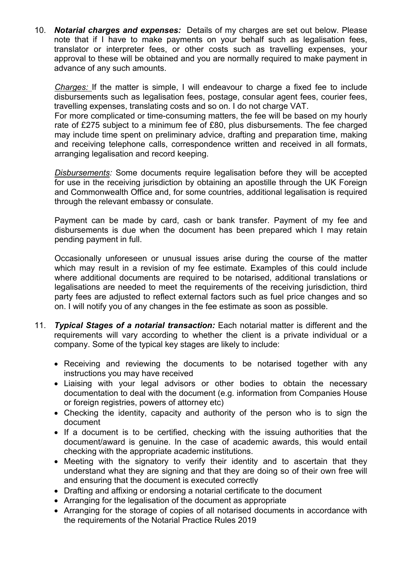10. *Notarial charges and expenses:* Details of my charges are set out below. Please note that if I have to make payments on your behalf such as legalisation fees, translator or interpreter fees, or other costs such as travelling expenses, your approval to these will be obtained and you are normally required to make payment in advance of any such amounts.

*Charges:* If the matter is simple, I will endeavour to charge a fixed fee to include disbursements such as legalisation fees, postage, consular agent fees, courier fees, travelling expenses, translating costs and so on. I do not charge VAT.

For more complicated or time-consuming matters, the fee will be based on my hourly rate of £275 subject to a minimum fee of £80, plus disbursements. The fee charged may include time spent on preliminary advice, drafting and preparation time, making and receiving telephone calls, correspondence written and received in all formats, arranging legalisation and record keeping.

*Disbursements:* Some documents require legalisation before they will be accepted for use in the receiving jurisdiction by obtaining an apostille through the UK Foreign and Commonwealth Office and, for some countries, additional legalisation is required through the relevant embassy or consulate.

Payment can be made by card, cash or bank transfer. Payment of my fee and disbursements is due when the document has been prepared which I may retain pending payment in full.

Occasionally unforeseen or unusual issues arise during the course of the matter which may result in a revision of my fee estimate. Examples of this could include where additional documents are required to be notarised, additional translations or legalisations are needed to meet the requirements of the receiving jurisdiction, third party fees are adjusted to reflect external factors such as fuel price changes and so on. I will notify you of any changes in the fee estimate as soon as possible.

- 11. *Typical Stages of a notarial transaction:* Each notarial matter is different and the requirements will vary according to whether the client is a private individual or a company. Some of the typical key stages are likely to include:
	- Receiving and reviewing the documents to be notarised together with any instructions you may have received
	- Liaising with your legal advisors or other bodies to obtain the necessary documentation to deal with the document (e.g. information from Companies House or foreign registries, powers of attorney etc)
	- Checking the identity, capacity and authority of the person who is to sign the document
	- If a document is to be certified, checking with the issuing authorities that the document/award is genuine. In the case of academic awards, this would entail checking with the appropriate academic institutions.
	- Meeting with the signatory to verify their identity and to ascertain that they understand what they are signing and that they are doing so of their own free will and ensuring that the document is executed correctly
	- Drafting and affixing or endorsing a notarial certificate to the document
	- Arranging for the legalisation of the document as appropriate
	- Arranging for the storage of copies of all notarised documents in accordance with the requirements of the Notarial Practice Rules 2019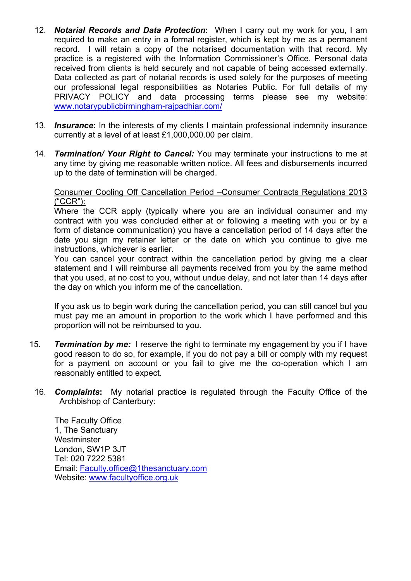- 12. *Notarial Records and Data Protection***:** When I carry out my work for you, I am required to make an entry in a formal register, which is kept by me as a permanent record. I will retain a copy of the notarised documentation with that record. My practice is a registered with the Information Commissioner's Office. Personal data received from clients is held securely and not capable of being accessed externally. Data collected as part of notarial records is used solely for the purposes of meeting our professional legal responsibilities as Notaries Public. For full details of my PRIVACY POLICY and data processing terms please see my website: www.notarypublicbirmingham-rajpadhiar.com/
- 13. *Insurance***:** In the interests of my clients I maintain professional indemnity insurance currently at a level of at least £1,000,000.00 per claim.
- 14. *Termination/ Your Right to Cancel:* You may terminate your instructions to me at any time by giving me reasonable written notice. All fees and disbursements incurred up to the date of termination will be charged.

## Consumer Cooling Off Cancellation Period –Consumer Contracts Regulations 2013 ("CCR"):

Where the CCR apply (typically where you are an individual consumer and my contract with you was concluded either at or following a meeting with you or by a form of distance communication) you have a cancellation period of 14 days after the date you sign my retainer letter or the date on which you continue to give me instructions, whichever is earlier.

You can cancel your contract within the cancellation period by giving me a clear statement and I will reimburse all payments received from you by the same method that you used, at no cost to you, without undue delay, and not later than 14 days after the day on which you inform me of the cancellation.

If you ask us to begin work during the cancellation period, you can still cancel but you must pay me an amount in proportion to the work which I have performed and this proportion will not be reimbursed to you.

- 15. *Termination by me:* I reserve the right to terminate my engagement by you if I have good reason to do so, for example, if you do not pay a bill or comply with my request for a payment on account or you fail to give me the co-operation which I am reasonably entitled to expect.
- 16. *Complaints***:** My notarial practice is regulated through the Faculty Office of the Archbishop of Canterbury:

The Faculty Office 1, The Sanctuary Westminster London, SW1P 3JT Tel: 020 7222 5381 Email: Faculty.office@1thesanctuary.com Website: www.facultyoffice.org.uk